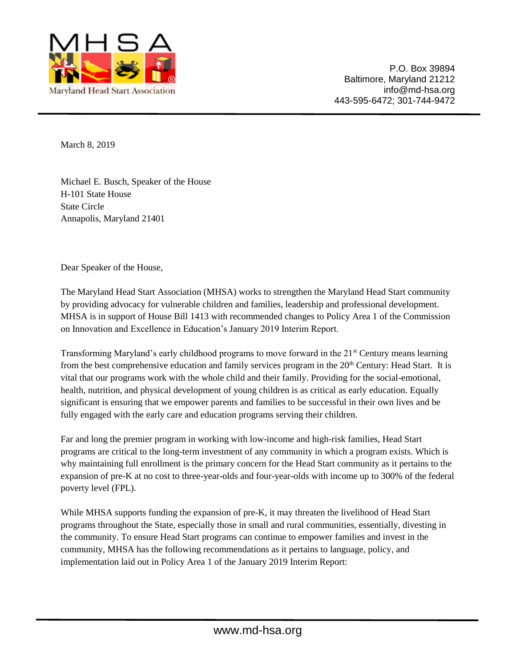

March 8, 2019

Michael E. Busch, Speaker of the House H-101 State House State Circle Annapolis, Maryland 21401

Dear Speaker of the House,

The Maryland Head Start Association (MHSA) works to strengthen the Maryland Head Start community by providing advocacy for vulnerable children and families, leadership and professional development. MHSA is in support of House Bill 1413 with recommended changes to Policy Area 1 of the Commission on Innovation and Excellence in Education's January 2019 Interim Report.

Transforming Maryland's early childhood programs to move forward in the 21<sup>st</sup> Century means learning from the best comprehensive education and family services program in the 20<sup>th</sup> Century: Head Start. It is vital that our programs work with the whole child and their family. Providing for the social-emotional, health, nutrition, and physical development of young children is as critical as early education. Equally significant is ensuring that we empower parents and families to be successful in their own lives and be fully engaged with the early care and education programs serving their children.

Far and long the premier program in working with low-income and high-risk families, Head Start programs are critical to the long-term investment of any community in which a program exists. Which is why maintaining full enrollment is the primary concern for the Head Start community as it pertains to the expansion of pre-K at no cost to three-year-olds and four-year-olds with income up to 300% of the federal poverty level (FPL).

While MHSA supports funding the expansion of pre-K, it may threaten the livelihood of Head Start programs throughout the State, especially those in small and rural communities, essentially, divesting in the community. To ensure Head Start programs can continue to empower families and invest in the community, MHSA has the following recommendations as it pertains to language, policy, and implementation laid out in Policy Area 1 of the January 2019 Interim Report: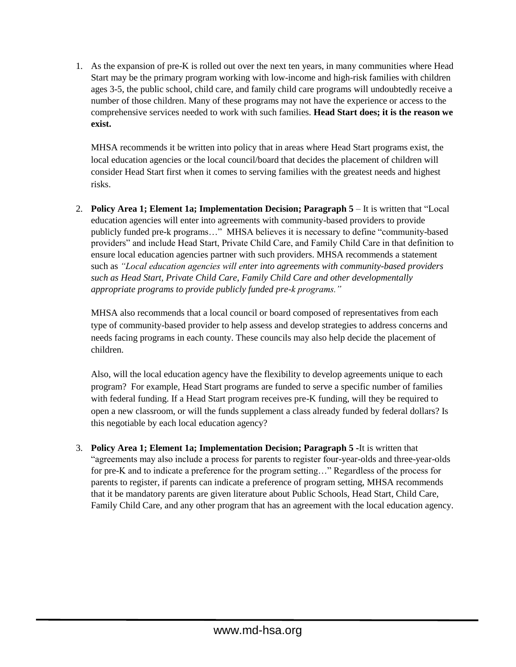1. As the expansion of pre-K is rolled out over the next ten years, in many communities where Head Start may be the primary program working with low-income and high-risk families with children ages 3-5, the public school, child care, and family child care programs will undoubtedly receive a number of those children. Many of these programs may not have the experience or access to the comprehensive services needed to work with such families. **Head Start does; it is the reason we exist.** 

MHSA recommends it be written into policy that in areas where Head Start programs exist, the local education agencies or the local council/board that decides the placement of children will consider Head Start first when it comes to serving families with the greatest needs and highest risks.

2. **Policy Area 1; Element 1a; Implementation Decision; Paragraph 5** – It is written that "Local education agencies will enter into agreements with community-based providers to provide publicly funded pre-k programs…" MHSA believes it is necessary to define "community-based providers" and include Head Start, Private Child Care, and Family Child Care in that definition to ensure local education agencies partner with such providers. MHSA recommends a statement such as *"Local education agencies will enter into agreements with community-based providers such as Head Start, Private Child Care, Family Child Care and other developmentally appropriate programs to provide publicly funded pre-k programs."*

MHSA also recommends that a local council or board composed of representatives from each type of community-based provider to help assess and develop strategies to address concerns and needs facing programs in each county. These councils may also help decide the placement of children.

Also, will the local education agency have the flexibility to develop agreements unique to each program? For example, Head Start programs are funded to serve a specific number of families with federal funding. If a Head Start program receives pre-K funding, will they be required to open a new classroom, or will the funds supplement a class already funded by federal dollars? Is this negotiable by each local education agency?

3. **Policy Area 1; Element 1a; Implementation Decision; Paragraph 5 -**It is written that "agreements may also include a process for parents to register four-year-olds and three-year-olds for pre-K and to indicate a preference for the program setting…" Regardless of the process for parents to register, if parents can indicate a preference of program setting, MHSA recommends that it be mandatory parents are given literature about Public Schools, Head Start, Child Care, Family Child Care, and any other program that has an agreement with the local education agency.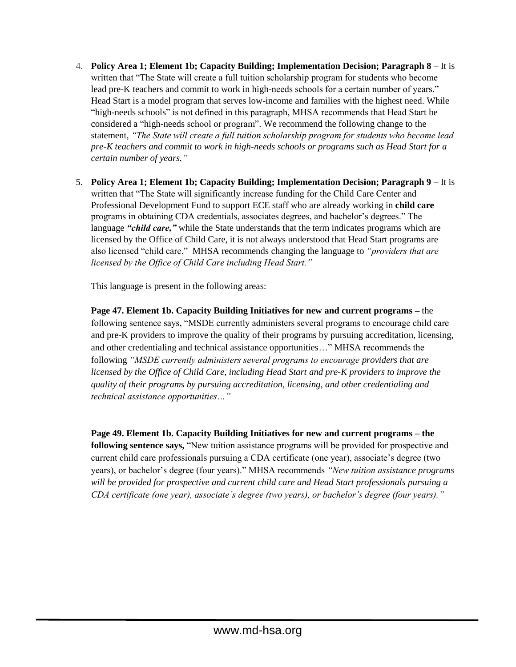- 4. **Policy Area 1; Element 1b; Capacity Building; Implementation Decision; Paragraph 8**  It is written that "The State will create a full tuition scholarship program for students who become lead pre-K teachers and commit to work in high-needs schools for a certain number of years." Head Start is a model program that serves low-income and families with the highest need. While "high-needs schools" is not defined in this paragraph, MHSA recommends that Head Start be considered a "high-needs school or program". We recommend the following change to the statement, *"The State will create a full tuition scholarship program for students who become lead pre-K teachers and commit to work in high-needs schools or programs such as Head Start for a certain number of years."*
- 5. **Policy Area 1; Element 1b; Capacity Building; Implementation Decision; Paragraph 9 –** It is written that "The State will significantly increase funding for the Child Care Center and Professional Development Fund to support ECE staff who are already working in **child care** programs in obtaining CDA credentials, associates degrees, and bachelor's degrees." The language *"child care,"* while the State understands that the term indicates programs which are licensed by the Office of Child Care, it is not always understood that Head Start programs are also licensed "child care." MHSA recommends changing the language to *"providers that are licensed by the Office of Child Care including Head Start."*

This language is present in the following areas:

**Page 47. Element 1b. Capacity Building Initiatives for new and current programs –** the following sentence says, "MSDE currently administers several programs to encourage child care and pre-K providers to improve the quality of their programs by pursuing accreditation, licensing, and other credentialing and technical assistance opportunities…" MHSA recommends the following *"MSDE currently administers several programs to encourage providers that are licensed by the Office of Child Care, including Head Start and pre-K providers to improve the quality of their programs by pursuing accreditation, licensing, and other credentialing and technical assistance opportunities…"*

**Page 49. Element 1b. Capacity Building Initiatives for new and current programs – the following sentence says,** "New tuition assistance programs will be provided for prospective and current child care professionals pursuing a CDA certificate (one year), associate's degree (two years), or bachelor's degree (four years)." MHSA recommends *"New tuition assistance programs will be provided for prospective and current child care and Head Start professionals pursuing a CDA certificate (one year), associate's degree (two years), or bachelor's degree (four years)."*